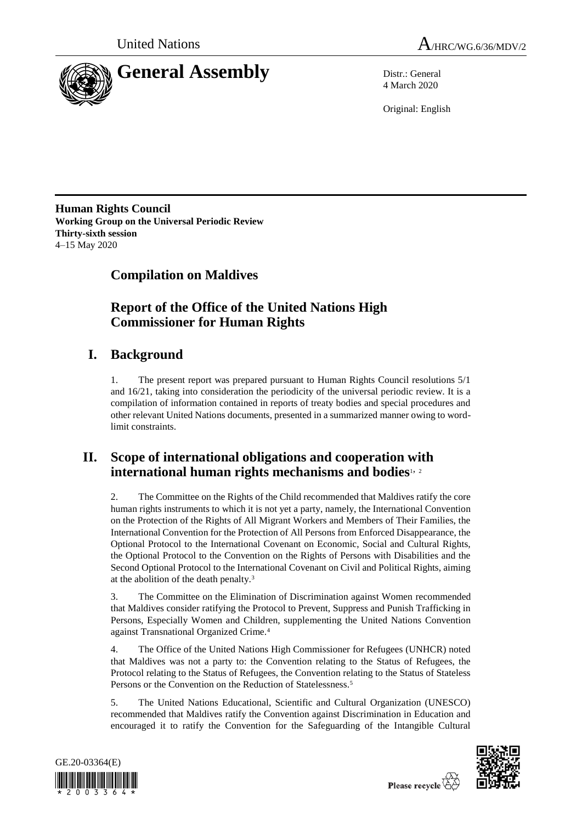



4 March 2020

Original: English

**Human Rights Council Working Group on the Universal Periodic Review Thirty-sixth session** 4–15 May 2020

# **Compilation on Maldives**

## **Report of the Office of the United Nations High Commissioner for Human Rights**

# **I. Background**

1. The present report was prepared pursuant to Human Rights Council resolutions 5/1 and 16/21, taking into consideration the periodicity of the universal periodic review. It is a compilation of information contained in reports of treaty bodies and special procedures and other relevant United Nations documents, presented in a summarized manner owing to wordlimit constraints.

## **II. Scope of international obligations and cooperation with international human rights mechanisms and bodies**1, <sup>2</sup>

2. The Committee on the Rights of the Child recommended that Maldives ratify the core human rights instruments to which it is not yet a party, namely, the International Convention on the Protection of the Rights of All Migrant Workers and Members of Their Families, the International Convention for the Protection of All Persons from Enforced Disappearance, the Optional Protocol to the International Covenant on Economic, Social and Cultural Rights, the Optional Protocol to the Convention on the Rights of Persons with Disabilities and the Second Optional Protocol to the International Covenant on Civil and Political Rights, aiming at the abolition of the death penalty.<sup>3</sup>

3. The Committee on the Elimination of Discrimination against Women recommended that Maldives consider ratifying the Protocol to Prevent, Suppress and Punish Trafficking in Persons, Especially Women and Children, supplementing the United Nations Convention against Transnational Organized Crime.<sup>4</sup>

4. The Office of the United Nations High Commissioner for Refugees (UNHCR) noted that Maldives was not a party to: the Convention relating to the Status of Refugees, the Protocol relating to the Status of Refugees, the Convention relating to the Status of Stateless Persons or the Convention on the Reduction of Statelessness.<sup>5</sup>

5. The United Nations Educational, Scientific and Cultural Organization (UNESCO) recommended that Maldives ratify the Convention against Discrimination in Education and encouraged it to ratify the Convention for the Safeguarding of the Intangible Cultural



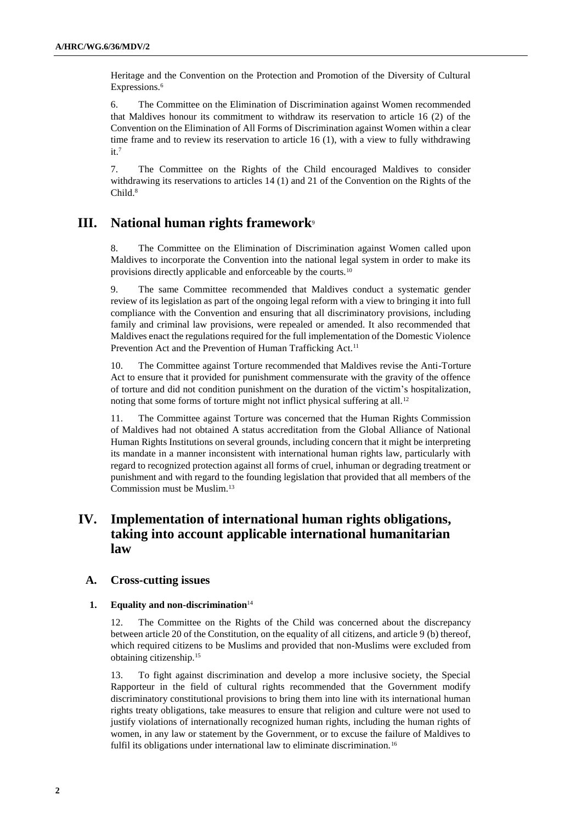Heritage and the Convention on the Protection and Promotion of the Diversity of Cultural Expressions.<sup>6</sup>

6. The Committee on the Elimination of Discrimination against Women recommended that Maldives honour its commitment to withdraw its reservation to article 16 (2) of the Convention on the Elimination of All Forms of Discrimination against Women within a clear time frame and to review its reservation to article 16 (1), with a view to fully withdrawing  $it.<sup>7</sup>$ 

7. The Committee on the Rights of the Child encouraged Maldives to consider withdrawing its reservations to articles 14 (1) and 21 of the Convention on the Rights of the Child.<sup>8</sup>

## **III. National human rights framework**<sup>9</sup>

8. The Committee on the Elimination of Discrimination against Women called upon Maldives to incorporate the Convention into the national legal system in order to make its provisions directly applicable and enforceable by the courts.<sup>10</sup>

9. The same Committee recommended that Maldives conduct a systematic gender review of its legislation as part of the ongoing legal reform with a view to bringing it into full compliance with the Convention and ensuring that all discriminatory provisions, including family and criminal law provisions, were repealed or amended. It also recommended that Maldives enact the regulations required for the full implementation of the Domestic Violence Prevention Act and the Prevention of Human Trafficking Act.<sup>11</sup>

10. The Committee against Torture recommended that Maldives revise the Anti-Torture Act to ensure that it provided for punishment commensurate with the gravity of the offence of torture and did not condition punishment on the duration of the victim's hospitalization, noting that some forms of torture might not inflict physical suffering at all.<sup>12</sup>

11. The Committee against Torture was concerned that the Human Rights Commission of Maldives had not obtained A status accreditation from the Global Alliance of National Human Rights Institutions on several grounds, including concern that it might be interpreting its mandate in a manner inconsistent with international human rights law, particularly with regard to recognized protection against all forms of cruel, inhuman or degrading treatment or punishment and with regard to the founding legislation that provided that all members of the Commission must be Muslim.<sup>13</sup>

## **IV. Implementation of international human rights obligations, taking into account applicable international humanitarian law**

## **A. Cross-cutting issues**

#### **1. Equality and non-discrimination**<sup>14</sup>

12. The Committee on the Rights of the Child was concerned about the discrepancy between article 20 of the Constitution, on the equality of all citizens, and article 9 (b) thereof, which required citizens to be Muslims and provided that non-Muslims were excluded from obtaining citizenship.<sup>15</sup>

13. To fight against discrimination and develop a more inclusive society, the Special Rapporteur in the field of cultural rights recommended that the Government modify discriminatory constitutional provisions to bring them into line with its international human rights treaty obligations, take measures to ensure that religion and culture were not used to justify violations of internationally recognized human rights, including the human rights of women, in any law or statement by the Government, or to excuse the failure of Maldives to fulfil its obligations under international law to eliminate discrimination.<sup>16</sup>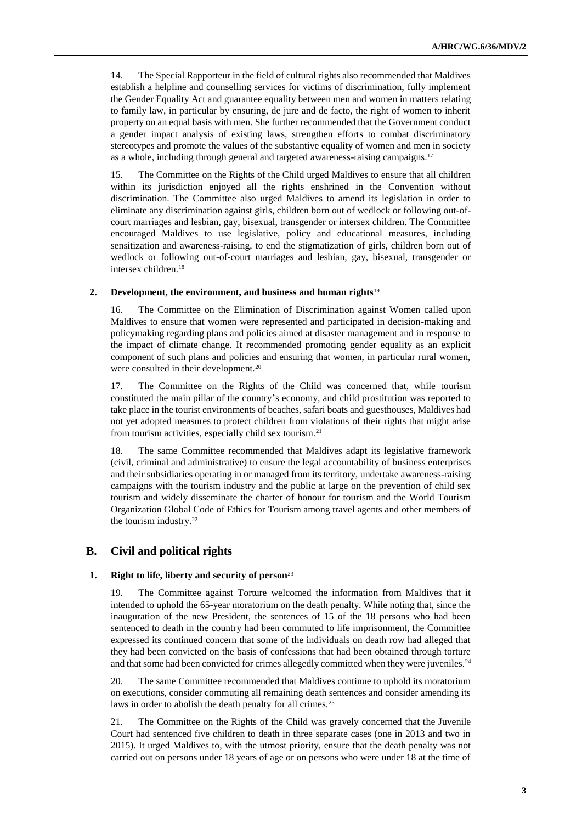14. The Special Rapporteur in the field of cultural rights also recommended that Maldives establish a helpline and counselling services for victims of discrimination, fully implement the Gender Equality Act and guarantee equality between men and women in matters relating to family law, in particular by ensuring, de jure and de facto, the right of women to inherit property on an equal basis with men. She further recommended that the Government conduct a gender impact analysis of existing laws, strengthen efforts to combat discriminatory stereotypes and promote the values of the substantive equality of women and men in society as a whole, including through general and targeted awareness-raising campaigns.<sup>17</sup>

15. The Committee on the Rights of the Child urged Maldives to ensure that all children within its jurisdiction enjoyed all the rights enshrined in the Convention without discrimination. The Committee also urged Maldives to amend its legislation in order to eliminate any discrimination against girls, children born out of wedlock or following out-ofcourt marriages and lesbian, gay, bisexual, transgender or intersex children. The Committee encouraged Maldives to use legislative, policy and educational measures, including sensitization and awareness-raising, to end the stigmatization of girls, children born out of wedlock or following out-of-court marriages and lesbian, gay, bisexual, transgender or intersex children.<sup>18</sup>

### **2. Development, the environment, and business and human rights**<sup>19</sup>

16. The Committee on the Elimination of Discrimination against Women called upon Maldives to ensure that women were represented and participated in decision-making and policymaking regarding plans and policies aimed at disaster management and in response to the impact of climate change. It recommended promoting gender equality as an explicit component of such plans and policies and ensuring that women, in particular rural women, were consulted in their development.<sup>20</sup>

17. The Committee on the Rights of the Child was concerned that, while tourism constituted the main pillar of the country's economy, and child prostitution was reported to take place in the tourist environments of beaches, safari boats and guesthouses, Maldives had not yet adopted measures to protect children from violations of their rights that might arise from tourism activities, especially child sex tourism.<sup>21</sup>

18. The same Committee recommended that Maldives adapt its legislative framework (civil, criminal and administrative) to ensure the legal accountability of business enterprises and their subsidiaries operating in or managed from its territory, undertake awareness-raising campaigns with the tourism industry and the public at large on the prevention of child sex tourism and widely disseminate the charter of honour for tourism and the World Tourism Organization Global Code of Ethics for Tourism among travel agents and other members of the tourism industry.<sup>22</sup>

## **B. Civil and political rights**

#### **1. Right to life, liberty and security of person**<sup>23</sup>

19. The Committee against Torture welcomed the information from Maldives that it intended to uphold the 65-year moratorium on the death penalty. While noting that, since the inauguration of the new President, the sentences of 15 of the 18 persons who had been sentenced to death in the country had been commuted to life imprisonment, the Committee expressed its continued concern that some of the individuals on death row had alleged that they had been convicted on the basis of confessions that had been obtained through torture and that some had been convicted for crimes allegedly committed when they were juveniles.<sup>24</sup>

20. The same Committee recommended that Maldives continue to uphold its moratorium on executions, consider commuting all remaining death sentences and consider amending its laws in order to abolish the death penalty for all crimes.<sup>25</sup>

21. The Committee on the Rights of the Child was gravely concerned that the Juvenile Court had sentenced five children to death in three separate cases (one in 2013 and two in 2015). It urged Maldives to, with the utmost priority, ensure that the death penalty was not carried out on persons under 18 years of age or on persons who were under 18 at the time of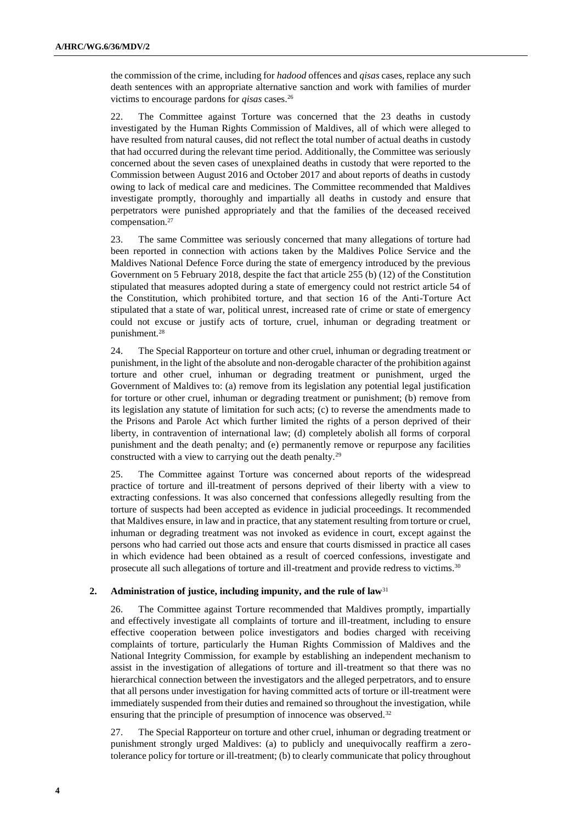the commission of the crime, including for *hadood* offences and *qisas* cases, replace any such death sentences with an appropriate alternative sanction and work with families of murder victims to encourage pardons for *qisas* cases.<sup>26</sup>

22. The Committee against Torture was concerned that the 23 deaths in custody investigated by the Human Rights Commission of Maldives, all of which were alleged to have resulted from natural causes, did not reflect the total number of actual deaths in custody that had occurred during the relevant time period. Additionally, the Committee was seriously concerned about the seven cases of unexplained deaths in custody that were reported to the Commission between August 2016 and October 2017 and about reports of deaths in custody owing to lack of medical care and medicines. The Committee recommended that Maldives investigate promptly, thoroughly and impartially all deaths in custody and ensure that perpetrators were punished appropriately and that the families of the deceased received compensation.<sup>27</sup>

23. The same Committee was seriously concerned that many allegations of torture had been reported in connection with actions taken by the Maldives Police Service and the Maldives National Defence Force during the state of emergency introduced by the previous Government on 5 February 2018, despite the fact that article 255 (b) (12) of the Constitution stipulated that measures adopted during a state of emergency could not restrict article 54 of the Constitution, which prohibited torture, and that section 16 of the Anti-Torture Act stipulated that a state of war, political unrest, increased rate of crime or state of emergency could not excuse or justify acts of torture, cruel, inhuman or degrading treatment or punishment.<sup>28</sup>

24. The Special Rapporteur on torture and other cruel, inhuman or degrading treatment or punishment, in the light of the absolute and non-derogable character of the prohibition against torture and other cruel, inhuman or degrading treatment or punishment, urged the Government of Maldives to: (a) remove from its legislation any potential legal justification for torture or other cruel, inhuman or degrading treatment or punishment; (b) remove from its legislation any statute of limitation for such acts; (c) to reverse the amendments made to the Prisons and Parole Act which further limited the rights of a person deprived of their liberty, in contravention of international law; (d) completely abolish all forms of corporal punishment and the death penalty; and (e) permanently remove or repurpose any facilities constructed with a view to carrying out the death penalty.<sup>29</sup>

25. The Committee against Torture was concerned about reports of the widespread practice of torture and ill-treatment of persons deprived of their liberty with a view to extracting confessions. It was also concerned that confessions allegedly resulting from the torture of suspects had been accepted as evidence in judicial proceedings. It recommended that Maldives ensure, in law and in practice, that any statement resulting from torture or cruel, inhuman or degrading treatment was not invoked as evidence in court, except against the persons who had carried out those acts and ensure that courts dismissed in practice all cases in which evidence had been obtained as a result of coerced confessions, investigate and prosecute all such allegations of torture and ill-treatment and provide redress to victims.<sup>30</sup>

#### **2. Administration of justice, including impunity, and the rule of law**<sup>31</sup>

26. The Committee against Torture recommended that Maldives promptly, impartially and effectively investigate all complaints of torture and ill-treatment, including to ensure effective cooperation between police investigators and bodies charged with receiving complaints of torture, particularly the Human Rights Commission of Maldives and the National Integrity Commission, for example by establishing an independent mechanism to assist in the investigation of allegations of torture and ill-treatment so that there was no hierarchical connection between the investigators and the alleged perpetrators, and to ensure that all persons under investigation for having committed acts of torture or ill-treatment were immediately suspended from their duties and remained so throughout the investigation, while ensuring that the principle of presumption of innocence was observed.<sup>32</sup>

27. The Special Rapporteur on torture and other cruel, inhuman or degrading treatment or punishment strongly urged Maldives: (a) to publicly and unequivocally reaffirm a zerotolerance policy for torture or ill-treatment; (b) to clearly communicate that policy throughout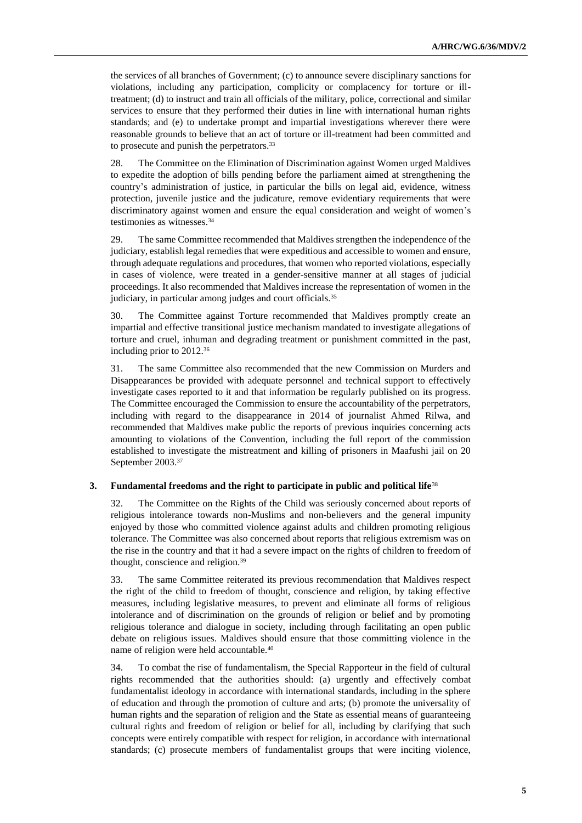the services of all branches of Government; (c) to announce severe disciplinary sanctions for violations, including any participation, complicity or complacency for torture or illtreatment; (d) to instruct and train all officials of the military, police, correctional and similar services to ensure that they performed their duties in line with international human rights standards; and (e) to undertake prompt and impartial investigations wherever there were reasonable grounds to believe that an act of torture or ill-treatment had been committed and to prosecute and punish the perpetrators.<sup>33</sup>

28. The Committee on the Elimination of Discrimination against Women urged Maldives to expedite the adoption of bills pending before the parliament aimed at strengthening the country's administration of justice, in particular the bills on legal aid, evidence, witness protection, juvenile justice and the judicature, remove evidentiary requirements that were discriminatory against women and ensure the equal consideration and weight of women's testimonies as witnesses.<sup>34</sup>

29. The same Committee recommended that Maldives strengthen the independence of the judiciary, establish legal remedies that were expeditious and accessible to women and ensure, through adequate regulations and procedures, that women who reported violations, especially in cases of violence, were treated in a gender-sensitive manner at all stages of judicial proceedings. It also recommended that Maldives increase the representation of women in the judiciary, in particular among judges and court officials.<sup>35</sup>

30. The Committee against Torture recommended that Maldives promptly create an impartial and effective transitional justice mechanism mandated to investigate allegations of torture and cruel, inhuman and degrading treatment or punishment committed in the past, including prior to 2012.<sup>36</sup>

31. The same Committee also recommended that the new Commission on Murders and Disappearances be provided with adequate personnel and technical support to effectively investigate cases reported to it and that information be regularly published on its progress. The Committee encouraged the Commission to ensure the accountability of the perpetrators, including with regard to the disappearance in 2014 of journalist Ahmed Rilwa, and recommended that Maldives make public the reports of previous inquiries concerning acts amounting to violations of the Convention, including the full report of the commission established to investigate the mistreatment and killing of prisoners in Maafushi jail on 20 September 2003.<sup>37</sup>

### **3. Fundamental freedoms and the right to participate in public and political life**<sup>38</sup>

32. The Committee on the Rights of the Child was seriously concerned about reports of religious intolerance towards non-Muslims and non-believers and the general impunity enjoyed by those who committed violence against adults and children promoting religious tolerance. The Committee was also concerned about reports that religious extremism was on the rise in the country and that it had a severe impact on the rights of children to freedom of thought, conscience and religion.<sup>39</sup>

33. The same Committee reiterated its previous recommendation that Maldives respect the right of the child to freedom of thought, conscience and religion, by taking effective measures, including legislative measures, to prevent and eliminate all forms of religious intolerance and of discrimination on the grounds of religion or belief and by promoting religious tolerance and dialogue in society, including through facilitating an open public debate on religious issues. Maldives should ensure that those committing violence in the name of religion were held accountable.<sup>40</sup>

34. To combat the rise of fundamentalism, the Special Rapporteur in the field of cultural rights recommended that the authorities should: (a) urgently and effectively combat fundamentalist ideology in accordance with international standards, including in the sphere of education and through the promotion of culture and arts; (b) promote the universality of human rights and the separation of religion and the State as essential means of guaranteeing cultural rights and freedom of religion or belief for all, including by clarifying that such concepts were entirely compatible with respect for religion, in accordance with international standards; (c) prosecute members of fundamentalist groups that were inciting violence,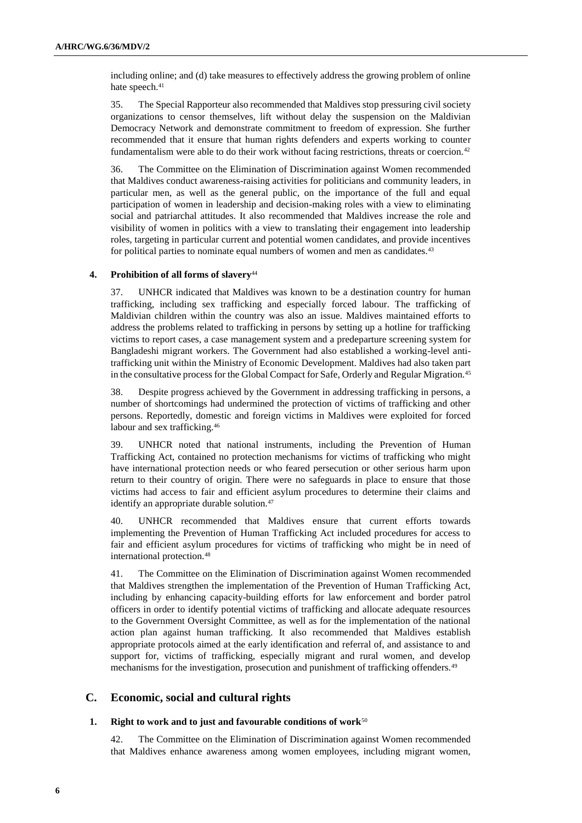including online; and (d) take measures to effectively address the growing problem of online hate speech.<sup>41</sup>

35. The Special Rapporteur also recommended that Maldives stop pressuring civil society organizations to censor themselves, lift without delay the suspension on the Maldivian Democracy Network and demonstrate commitment to freedom of expression. She further recommended that it ensure that human rights defenders and experts working to counter fundamentalism were able to do their work without facing restrictions, threats or coercion.<sup>42</sup>

36. The Committee on the Elimination of Discrimination against Women recommended that Maldives conduct awareness-raising activities for politicians and community leaders, in particular men, as well as the general public, on the importance of the full and equal participation of women in leadership and decision-making roles with a view to eliminating social and patriarchal attitudes. It also recommended that Maldives increase the role and visibility of women in politics with a view to translating their engagement into leadership roles, targeting in particular current and potential women candidates, and provide incentives for political parties to nominate equal numbers of women and men as candidates.<sup>43</sup>

### **4. Prohibition of all forms of slavery**<sup>44</sup>

37. UNHCR indicated that Maldives was known to be a destination country for human trafficking, including sex trafficking and especially forced labour. The trafficking of Maldivian children within the country was also an issue. Maldives maintained efforts to address the problems related to trafficking in persons by setting up a hotline for trafficking victims to report cases, a case management system and a predeparture screening system for Bangladeshi migrant workers. The Government had also established a working-level antitrafficking unit within the Ministry of Economic Development. Maldives had also taken part in the consultative process for the Global Compact for Safe, Orderly and Regular Migration.<sup>45</sup>

38. Despite progress achieved by the Government in addressing trafficking in persons, a number of shortcomings had undermined the protection of victims of trafficking and other persons. Reportedly, domestic and foreign victims in Maldives were exploited for forced labour and sex trafficking.<sup>46</sup>

39. UNHCR noted that national instruments, including the Prevention of Human Trafficking Act, contained no protection mechanisms for victims of trafficking who might have international protection needs or who feared persecution or other serious harm upon return to their country of origin. There were no safeguards in place to ensure that those victims had access to fair and efficient asylum procedures to determine their claims and identify an appropriate durable solution.<sup>47</sup>

40. UNHCR recommended that Maldives ensure that current efforts towards implementing the Prevention of Human Trafficking Act included procedures for access to fair and efficient asylum procedures for victims of trafficking who might be in need of international protection.<sup>48</sup>

41. The Committee on the Elimination of Discrimination against Women recommended that Maldives strengthen the implementation of the Prevention of Human Trafficking Act, including by enhancing capacity-building efforts for law enforcement and border patrol officers in order to identify potential victims of trafficking and allocate adequate resources to the Government Oversight Committee, as well as for the implementation of the national action plan against human trafficking. It also recommended that Maldives establish appropriate protocols aimed at the early identification and referral of, and assistance to and support for, victims of trafficking, especially migrant and rural women, and develop mechanisms for the investigation, prosecution and punishment of trafficking offenders.<sup>49</sup>

## **C. Economic, social and cultural rights**

#### **1. Right to work and to just and favourable conditions of work**<sup>50</sup>

42. The Committee on the Elimination of Discrimination against Women recommended that Maldives enhance awareness among women employees, including migrant women,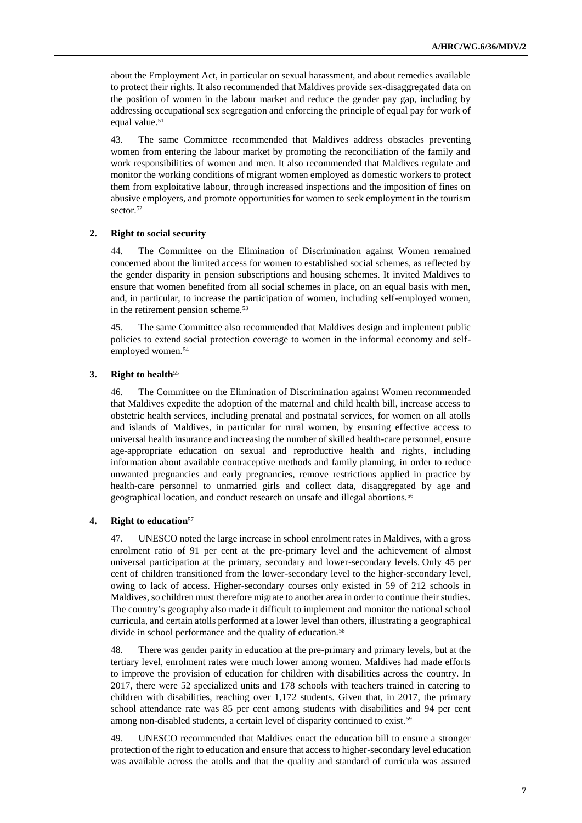about the Employment Act, in particular on sexual harassment, and about remedies available to protect their rights. It also recommended that Maldives provide sex-disaggregated data on the position of women in the labour market and reduce the gender pay gap, including by addressing occupational sex segregation and enforcing the principle of equal pay for work of equal value.<sup>51</sup>

43. The same Committee recommended that Maldives address obstacles preventing women from entering the labour market by promoting the reconciliation of the family and work responsibilities of women and men. It also recommended that Maldives regulate and monitor the working conditions of migrant women employed as domestic workers to protect them from exploitative labour, through increased inspections and the imposition of fines on abusive employers, and promote opportunities for women to seek employment in the tourism sector.<sup>52</sup>

#### **2. Right to social security**

44. The Committee on the Elimination of Discrimination against Women remained concerned about the limited access for women to established social schemes, as reflected by the gender disparity in pension subscriptions and housing schemes. It invited Maldives to ensure that women benefited from all social schemes in place, on an equal basis with men, and, in particular, to increase the participation of women, including self-employed women, in the retirement pension scheme.<sup>53</sup>

45. The same Committee also recommended that Maldives design and implement public policies to extend social protection coverage to women in the informal economy and selfemployed women.<sup>54</sup>

#### **3. Right to health**<sup>55</sup>

46. The Committee on the Elimination of Discrimination against Women recommended that Maldives expedite the adoption of the maternal and child health bill, increase access to obstetric health services, including prenatal and postnatal services, for women on all atolls and islands of Maldives, in particular for rural women, by ensuring effective access to universal health insurance and increasing the number of skilled health-care personnel, ensure age-appropriate education on sexual and reproductive health and rights, including information about available contraceptive methods and family planning, in order to reduce unwanted pregnancies and early pregnancies, remove restrictions applied in practice by health-care personnel to unmarried girls and collect data, disaggregated by age and geographical location, and conduct research on unsafe and illegal abortions.<sup>56</sup>

#### **4. Right to education**<sup>57</sup>

47. UNESCO noted the large increase in school enrolment rates in Maldives, with a gross enrolment ratio of 91 per cent at the pre-primary level and the achievement of almost universal participation at the primary, secondary and lower-secondary levels. Only 45 per cent of children transitioned from the lower-secondary level to the higher-secondary level, owing to lack of access. Higher-secondary courses only existed in 59 of 212 schools in Maldives, so children must therefore migrate to another area in order to continue their studies. The country's geography also made it difficult to implement and monitor the national school curricula, and certain atolls performed at a lower level than others, illustrating a geographical divide in school performance and the quality of education.<sup>58</sup>

48. There was gender parity in education at the pre-primary and primary levels, but at the tertiary level, enrolment rates were much lower among women. Maldives had made efforts to improve the provision of education for children with disabilities across the country. In 2017, there were 52 specialized units and 178 schools with teachers trained in catering to children with disabilities, reaching over 1,172 students. Given that, in 2017, the primary school attendance rate was 85 per cent among students with disabilities and 94 per cent among non-disabled students, a certain level of disparity continued to exist.<sup>59</sup>

49. UNESCO recommended that Maldives enact the education bill to ensure a stronger protection of the right to education and ensure that access to higher-secondary level education was available across the atolls and that the quality and standard of curricula was assured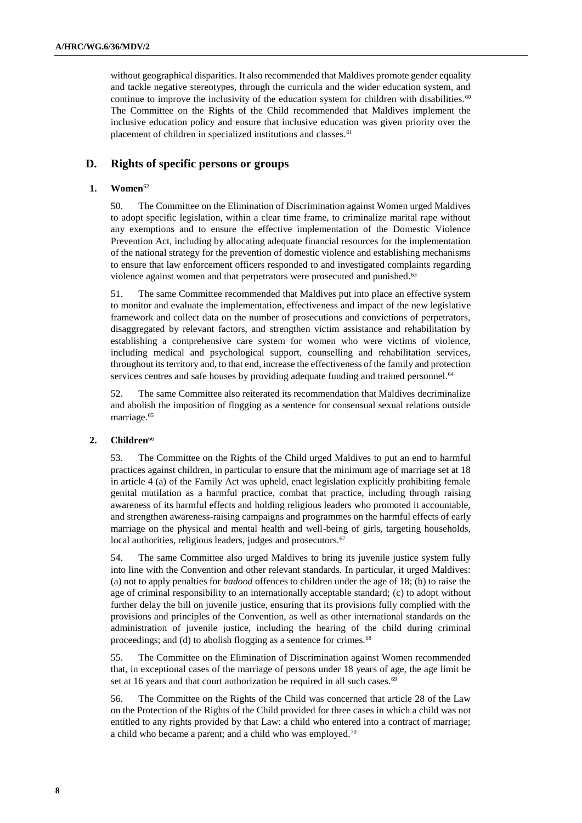without geographical disparities. It also recommended that Maldives promote gender equality and tackle negative stereotypes, through the curricula and the wider education system, and continue to improve the inclusivity of the education system for children with disabilities.<sup>60</sup> The Committee on the Rights of the Child recommended that Maldives implement the inclusive education policy and ensure that inclusive education was given priority over the placement of children in specialized institutions and classes.<sup>61</sup>

## **D. Rights of specific persons or groups**

## **1. Women**<sup>62</sup>

50. The Committee on the Elimination of Discrimination against Women urged Maldives to adopt specific legislation, within a clear time frame, to criminalize marital rape without any exemptions and to ensure the effective implementation of the Domestic Violence Prevention Act, including by allocating adequate financial resources for the implementation of the national strategy for the prevention of domestic violence and establishing mechanisms to ensure that law enforcement officers responded to and investigated complaints regarding violence against women and that perpetrators were prosecuted and punished.<sup>63</sup>

51. The same Committee recommended that Maldives put into place an effective system to monitor and evaluate the implementation, effectiveness and impact of the new legislative framework and collect data on the number of prosecutions and convictions of perpetrators, disaggregated by relevant factors, and strengthen victim assistance and rehabilitation by establishing a comprehensive care system for women who were victims of violence, including medical and psychological support, counselling and rehabilitation services, throughout its territory and, to that end, increase the effectiveness of the family and protection services centres and safe houses by providing adequate funding and trained personnel.<sup>64</sup>

52. The same Committee also reiterated its recommendation that Maldives decriminalize and abolish the imposition of flogging as a sentence for consensual sexual relations outside marriage.<sup>65</sup>

#### **2. Children**<sup>66</sup>

53. The Committee on the Rights of the Child urged Maldives to put an end to harmful practices against children, in particular to ensure that the minimum age of marriage set at 18 in article 4 (a) of the Family Act was upheld, enact legislation explicitly prohibiting female genital mutilation as a harmful practice, combat that practice, including through raising awareness of its harmful effects and holding religious leaders who promoted it accountable, and strengthen awareness-raising campaigns and programmes on the harmful effects of early marriage on the physical and mental health and well-being of girls, targeting households, local authorities, religious leaders, judges and prosecutors.<sup>67</sup>

54. The same Committee also urged Maldives to bring its juvenile justice system fully into line with the Convention and other relevant standards. In particular, it urged Maldives: (a) not to apply penalties for *hadood* offences to children under the age of 18; (b) to raise the age of criminal responsibility to an internationally acceptable standard; (c) to adopt without further delay the bill on juvenile justice, ensuring that its provisions fully complied with the provisions and principles of the Convention, as well as other international standards on the administration of juvenile justice, including the hearing of the child during criminal proceedings; and (d) to abolish flogging as a sentence for crimes.<sup>68</sup>

55. The Committee on the Elimination of Discrimination against Women recommended that, in exceptional cases of the marriage of persons under 18 years of age, the age limit be set at 16 years and that court authorization be required in all such cases.<sup>69</sup>

56. The Committee on the Rights of the Child was concerned that article 28 of the Law on the Protection of the Rights of the Child provided for three cases in which a child was not entitled to any rights provided by that Law: a child who entered into a contract of marriage; a child who became a parent; and a child who was employed.<sup>70</sup>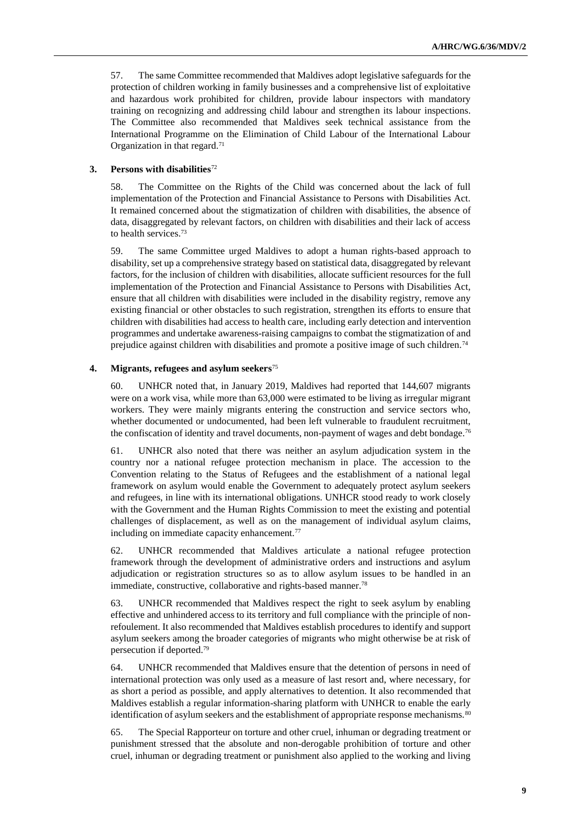57. The same Committee recommended that Maldives adopt legislative safeguards for the protection of children working in family businesses and a comprehensive list of exploitative and hazardous work prohibited for children, provide labour inspectors with mandatory training on recognizing and addressing child labour and strengthen its labour inspections. The Committee also recommended that Maldives seek technical assistance from the International Programme on the Elimination of Child Labour of the International Labour Organization in that regard.<sup>71</sup>

### **3. Persons with disabilities**<sup>72</sup>

58. The Committee on the Rights of the Child was concerned about the lack of full implementation of the Protection and Financial Assistance to Persons with Disabilities Act. It remained concerned about the stigmatization of children with disabilities, the absence of data, disaggregated by relevant factors, on children with disabilities and their lack of access to health services.<sup>73</sup>

59. The same Committee urged Maldives to adopt a human rights-based approach to disability, set up a comprehensive strategy based on statistical data, disaggregated by relevant factors, for the inclusion of children with disabilities, allocate sufficient resources for the full implementation of the Protection and Financial Assistance to Persons with Disabilities Act, ensure that all children with disabilities were included in the disability registry, remove any existing financial or other obstacles to such registration, strengthen its efforts to ensure that children with disabilities had access to health care, including early detection and intervention programmes and undertake awareness-raising campaigns to combat the stigmatization of and prejudice against children with disabilities and promote a positive image of such children.<sup>74</sup>

### **4. Migrants, refugees and asylum seekers**<sup>75</sup>

60. UNHCR noted that, in January 2019, Maldives had reported that 144,607 migrants were on a work visa, while more than 63,000 were estimated to be living as irregular migrant workers. They were mainly migrants entering the construction and service sectors who, whether documented or undocumented, had been left vulnerable to fraudulent recruitment, the confiscation of identity and travel documents, non-payment of wages and debt bondage.<sup>76</sup>

61. UNHCR also noted that there was neither an asylum adjudication system in the country nor a national refugee protection mechanism in place. The accession to the Convention relating to the Status of Refugees and the establishment of a national legal framework on asylum would enable the Government to adequately protect asylum seekers and refugees, in line with its international obligations. UNHCR stood ready to work closely with the Government and the Human Rights Commission to meet the existing and potential challenges of displacement, as well as on the management of individual asylum claims, including on immediate capacity enhancement.<sup>77</sup>

62. UNHCR recommended that Maldives articulate a national refugee protection framework through the development of administrative orders and instructions and asylum adjudication or registration structures so as to allow asylum issues to be handled in an immediate, constructive, collaborative and rights-based manner.<sup>78</sup>

63. UNHCR recommended that Maldives respect the right to seek asylum by enabling effective and unhindered access to its territory and full compliance with the principle of nonrefoulement. It also recommended that Maldives establish procedures to identify and support asylum seekers among the broader categories of migrants who might otherwise be at risk of persecution if deported.<sup>79</sup>

64. UNHCR recommended that Maldives ensure that the detention of persons in need of international protection was only used as a measure of last resort and, where necessary, for as short a period as possible, and apply alternatives to detention. It also recommended that Maldives establish a regular information-sharing platform with UNHCR to enable the early identification of asylum seekers and the establishment of appropriate response mechanisms.<sup>80</sup>

65. The Special Rapporteur on torture and other cruel, inhuman or degrading treatment or punishment stressed that the absolute and non-derogable prohibition of torture and other cruel, inhuman or degrading treatment or punishment also applied to the working and living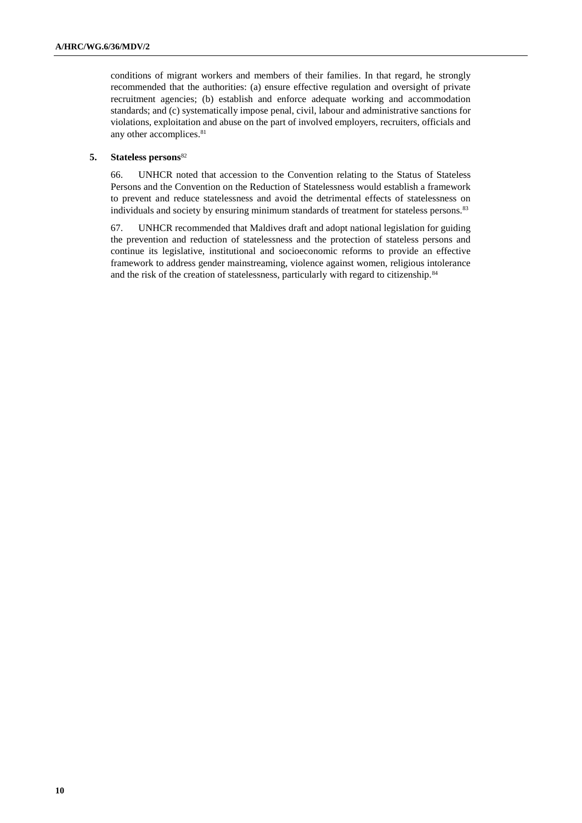conditions of migrant workers and members of their families. In that regard, he strongly recommended that the authorities: (a) ensure effective regulation and oversight of private recruitment agencies; (b) establish and enforce adequate working and accommodation standards; and (c) systematically impose penal, civil, labour and administrative sanctions for violations, exploitation and abuse on the part of involved employers, recruiters, officials and any other accomplices.<sup>81</sup>

### **5. Stateless persons**<sup>82</sup>

66. UNHCR noted that accession to the Convention relating to the Status of Stateless Persons and the Convention on the Reduction of Statelessness would establish a framework to prevent and reduce statelessness and avoid the detrimental effects of statelessness on individuals and society by ensuring minimum standards of treatment for stateless persons.<sup>83</sup>

67. UNHCR recommended that Maldives draft and adopt national legislation for guiding the prevention and reduction of statelessness and the protection of stateless persons and continue its legislative, institutional and socioeconomic reforms to provide an effective framework to address gender mainstreaming, violence against women, religious intolerance and the risk of the creation of statelessness, particularly with regard to citizenship.<sup>84</sup>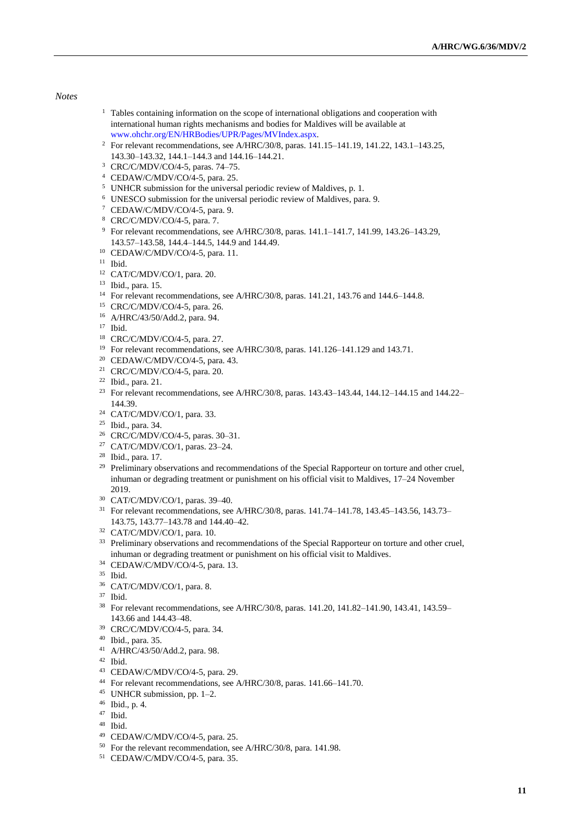#### *Notes*

- <sup>1</sup> Tables containing information on the scope of international obligations and cooperation with international human rights mechanisms and bodies for Maldives will be available at [www.ohchr.org/EN/HRBodies/UPR/Pages/MVIndex.aspx.](file:///C:/Users/Suze/AppData/Local/Packages/microsoft.windowscommunicationsapps_8wekyb3d8bbwe/LocalState/Files/S0/3/Attachments/www.ohchr.org/EN/HRBodies/UPR/Pages/MVIndex.aspx)
- <sup>2</sup> For relevant recommendations, see A/HRC/30/8, paras. 141.15-141.19, 141.22, 143.1-143.25, 143.30–143.32, 144.1–144.3 and 144.16–144.21.
- CRC/C/MDV/CO/4-5, paras. 74–75.
- CEDAW/C/MDV/CO/4-5, para. 25.
- UNHCR submission for the universal periodic review of Maldives, p. 1.
- UNESCO submission for the universal periodic review of Maldives, para. 9.
- CEDAW/C/MDV/CO/4-5, para. 9.
- CRC/C/MDV/CO/4-5, para. 7.
- For relevant recommendations, see A/HRC/30/8, paras. 141.1–141.7, 141.99, 143.26–143.29, 143.57–143.58, 144.4–144.5, 144.9 and 144.49.
- CEDAW/C/MDV/CO/4-5, para. 11.
- Ibid.
- CAT/C/MDV/CO/1, para. 20.
- Ibid., para. 15.
- <sup>14</sup> For relevant recommendations, see A/HRC/30/8, paras. 141.21, 143.76 and 144.6–144.8.
- CRC/C/MDV/CO/4-5, para. 26.
- A/HRC/43/50/Add.2, para. 94.
- Ibid.
- CRC/C/MDV/CO/4-5, para. 27.
- For relevant recommendations, see A/HRC/30/8, paras. 141.126–141.129 and 143.71.
- CEDAW/C/MDV/CO/4-5, para. 43.
- CRC/C/MDV/CO/4-5, para. 20.
- Ibid., para. 21.
- For relevant recommendations, see A/HRC/30/8, paras. 143.43–143.44, 144.12–144.15 and 144.22– 144.39.
- CAT/C/MDV/CO/1, para. 33.
- Ibid., para. 34.
- CRC/C/MDV/CO/4-5, paras. 30–31.
- CAT/C/MDV/CO/1, paras. 23–24.
- Ibid., para. 17.
- <sup>29</sup> Preliminary observations and recommendations of the Special Rapporteur on torture and other cruel, inhuman or degrading treatment or punishment on his official visit to Maldives, 17–24 November 2019.
- CAT/C/MDV/CO/1, paras. 39–40.
- For relevant recommendations, see A/HRC/30/8, paras. 141.74–141.78, 143.45–143.56, 143.73– 143.75, 143.77–143.78 and 144.40–42.
- CAT/C/MDV/CO/1, para. 10.
- <sup>33</sup> Preliminary observations and recommendations of the Special Rapporteur on torture and other cruel, inhuman or degrading treatment or punishment on his official visit to Maldives.
- CEDAW/C/MDV/CO/4-5, para. 13.
- Ibid.
- CAT/C/MDV/CO/1, para. 8.
- Ibid.
- For relevant recommendations, see A/HRC/30/8, paras. 141.20, 141.82–141.90, 143.41, 143.59– 143.66 and 144.43–48.
- CRC/C/MDV/CO/4-5, para. 34.
- Ibid., para. 35.
- A/HRC/43/50/Add.2, para. 98.
- Ibid.
- CEDAW/C/MDV/CO/4-5, para. 29.
- For relevant recommendations, see A/HRC/30/8, paras. 141.66–141.70.
- UNHCR submission, pp. 1–2.
- Ibid., p. 4.
- Ibid.
- Ibid.
- CEDAW/C/MDV/CO/4-5, para. 25.
- For the relevant recommendation, see A/HRC/30/8, para. 141.98.
- CEDAW/C/MDV/CO/4-5, para. 35.